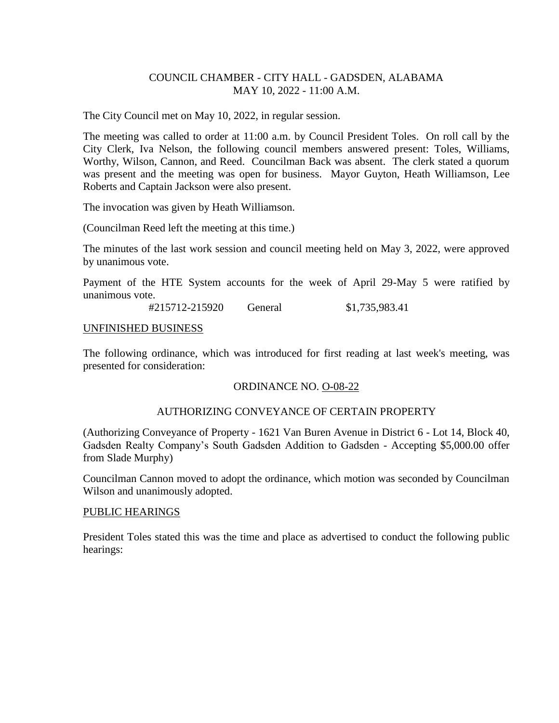## COUNCIL CHAMBER - CITY HALL - GADSDEN, ALABAMA MAY 10, 2022 - 11:00 A.M.

The City Council met on May 10, 2022, in regular session.

The meeting was called to order at 11:00 a.m. by Council President Toles. On roll call by the City Clerk, Iva Nelson, the following council members answered present: Toles, Williams, Worthy, Wilson, Cannon, and Reed. Councilman Back was absent. The clerk stated a quorum was present and the meeting was open for business. Mayor Guyton, Heath Williamson, Lee Roberts and Captain Jackson were also present.

The invocation was given by Heath Williamson.

(Councilman Reed left the meeting at this time.)

The minutes of the last work session and council meeting held on May 3, 2022, were approved by unanimous vote.

Payment of the HTE System accounts for the week of April 29-May 5 were ratified by unanimous vote.

#215712-215920 General \$1,735,983.41

#### UNFINISHED BUSINESS

The following ordinance, which was introduced for first reading at last week's meeting, was presented for consideration:

## ORDINANCE NO. O-08-22

## AUTHORIZING CONVEYANCE OF CERTAIN PROPERTY

(Authorizing Conveyance of Property - 1621 Van Buren Avenue in District 6 - Lot 14, Block 40, Gadsden Realty Company's South Gadsden Addition to Gadsden - Accepting \$5,000.00 offer from Slade Murphy)

Councilman Cannon moved to adopt the ordinance, which motion was seconded by Councilman Wilson and unanimously adopted.

#### PUBLIC HEARINGS

President Toles stated this was the time and place as advertised to conduct the following public hearings: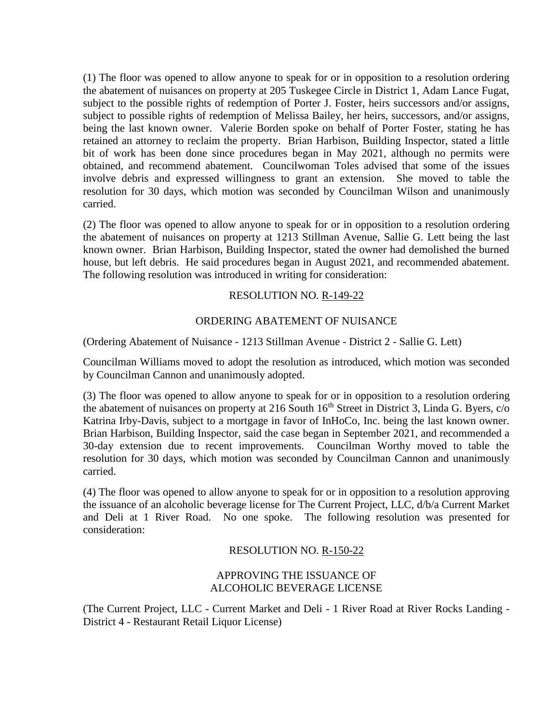(1) The floor was opened to allow anyone to speak for or in opposition to a resolution ordering the abatement of nuisances on property at 205 Tuskegee Circle in District 1, Adam Lance Fugat, subject to the possible rights of redemption of Porter J. Foster, heirs successors and/or assigns, subject to possible rights of redemption of Melissa Bailey, her heirs, successors, and/or assigns, being the last known owner. Valerie Borden spoke on behalf of Porter Foster, stating he has retained an attorney to reclaim the property. Brian Harbison, Building Inspector, stated a little bit of work has been done since procedures began in May 2021, although no permits were obtained, and recommend abatement. Councilwoman Toles advised that some of the issues involve debris and expressed willingness to grant an extension. She moved to table the resolution for 30 days, which motion was seconded by Councilman Wilson and unanimously carried.

(2) The floor was opened to allow anyone to speak for or in opposition to a resolution ordering the abatement of nuisances on property at 1213 Stillman Avenue, Sallie G. Lett being the last known owner. Brian Harbison, Building Inspector, stated the owner had demolished the burned house, but left debris. He said procedures began in August 2021, and recommended abatement. The following resolution was introduced in writing for consideration:

# RESOLUTION NO. R-149-22

# ORDERING ABATEMENT OF NUISANCE

(Ordering Abatement of Nuisance - 1213 Stillman Avenue - District 2 - Sallie G. Lett)

Councilman Williams moved to adopt the resolution as introduced, which motion was seconded by Councilman Cannon and unanimously adopted.

(3) The floor was opened to allow anyone to speak for or in opposition to a resolution ordering the abatement of nuisances on property at 216 South  $16<sup>th</sup>$  Street in District 3, Linda G. Byers,  $c/o$ Katrina Irby-Davis, subject to a mortgage in favor of InHoCo, Inc. being the last known owner. Brian Harbison, Building Inspector, said the case began in September 2021, and recommended a 30-day extension due to recent improvements. Councilman Worthy moved to table the resolution for 30 days, which motion was seconded by Councilman Cannon and unanimously carried.

(4) The floor was opened to allow anyone to speak for or in opposition to a resolution approving the issuance of an alcoholic beverage license for The Current Project, LLC, d/b/a Current Market and Deli at 1 River Road. No one spoke. The following resolution was presented for consideration:

## RESOLUTION NO. R-150-22

## APPROVING THE ISSUANCE OF ALCOHOLIC BEVERAGE LICENSE

(The Current Project, LLC - Current Market and Deli - 1 River Road at River Rocks Landing - District 4 - Restaurant Retail Liquor License)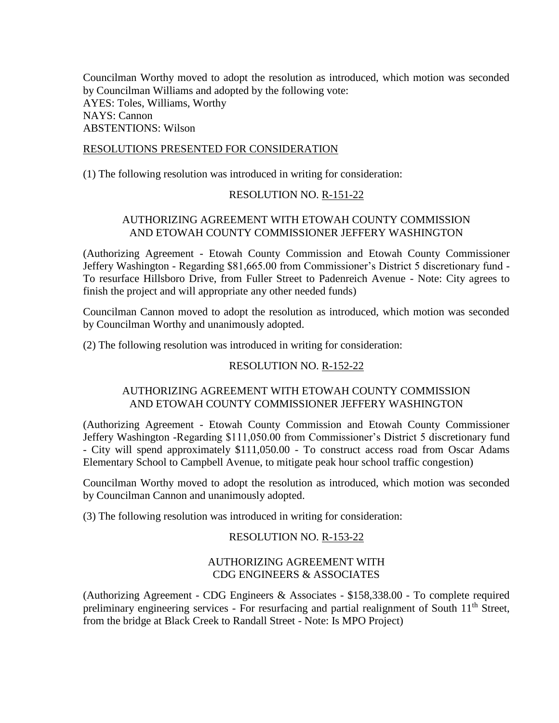Councilman Worthy moved to adopt the resolution as introduced, which motion was seconded by Councilman Williams and adopted by the following vote: AYES: Toles, Williams, Worthy NAYS: Cannon ABSTENTIONS: Wilson

#### RESOLUTIONS PRESENTED FOR CONSIDERATION

(1) The following resolution was introduced in writing for consideration:

#### RESOLUTION NO. R-151-22

## AUTHORIZING AGREEMENT WITH ETOWAH COUNTY COMMISSION AND ETOWAH COUNTY COMMISSIONER JEFFERY WASHINGTON

(Authorizing Agreement - Etowah County Commission and Etowah County Commissioner Jeffery Washington - Regarding \$81,665.00 from Commissioner's District 5 discretionary fund - To resurface Hillsboro Drive, from Fuller Street to Padenreich Avenue - Note: City agrees to finish the project and will appropriate any other needed funds)

Councilman Cannon moved to adopt the resolution as introduced, which motion was seconded by Councilman Worthy and unanimously adopted.

(2) The following resolution was introduced in writing for consideration:

## RESOLUTION NO. R-152-22

## AUTHORIZING AGREEMENT WITH ETOWAH COUNTY COMMISSION AND ETOWAH COUNTY COMMISSIONER JEFFERY WASHINGTON

(Authorizing Agreement - Etowah County Commission and Etowah County Commissioner Jeffery Washington -Regarding \$111,050.00 from Commissioner's District 5 discretionary fund - City will spend approximately \$111,050.00 - To construct access road from Oscar Adams Elementary School to Campbell Avenue, to mitigate peak hour school traffic congestion)

Councilman Worthy moved to adopt the resolution as introduced, which motion was seconded by Councilman Cannon and unanimously adopted.

(3) The following resolution was introduced in writing for consideration:

## RESOLUTION NO. R-153-22

# AUTHORIZING AGREEMENT WITH CDG ENGINEERS & ASSOCIATES

(Authorizing Agreement - CDG Engineers & Associates - \$158,338.00 - To complete required preliminary engineering services - For resurfacing and partial realignment of South 11<sup>th</sup> Street, from the bridge at Black Creek to Randall Street - Note: Is MPO Project)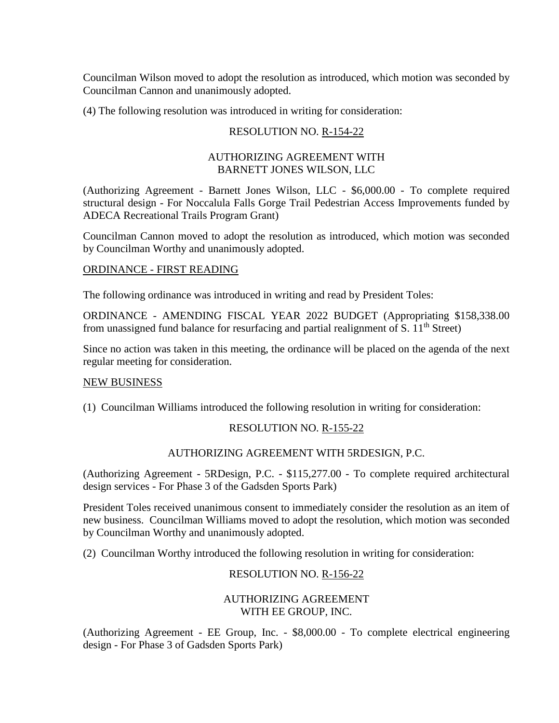Councilman Wilson moved to adopt the resolution as introduced, which motion was seconded by Councilman Cannon and unanimously adopted.

(4) The following resolution was introduced in writing for consideration:

### RESOLUTION NO. R-154-22

### AUTHORIZING AGREEMENT WITH BARNETT JONES WILSON, LLC

(Authorizing Agreement - Barnett Jones Wilson, LLC - \$6,000.00 - To complete required structural design - For Noccalula Falls Gorge Trail Pedestrian Access Improvements funded by ADECA Recreational Trails Program Grant)

Councilman Cannon moved to adopt the resolution as introduced, which motion was seconded by Councilman Worthy and unanimously adopted.

#### ORDINANCE - FIRST READING

The following ordinance was introduced in writing and read by President Toles:

ORDINANCE - AMENDING FISCAL YEAR 2022 BUDGET (Appropriating \$158,338.00 from unassigned fund balance for resurfacing and partial realignment of S.  $11<sup>th</sup>$  Street)

Since no action was taken in this meeting, the ordinance will be placed on the agenda of the next regular meeting for consideration.

## NEW BUSINESS

(1) Councilman Williams introduced the following resolution in writing for consideration:

## RESOLUTION NO. R-155-22

## AUTHORIZING AGREEMENT WITH 5RDESIGN, P.C.

(Authorizing Agreement - 5RDesign, P.C. - \$115,277.00 - To complete required architectural design services - For Phase 3 of the Gadsden Sports Park)

President Toles received unanimous consent to immediately consider the resolution as an item of new business. Councilman Williams moved to adopt the resolution, which motion was seconded by Councilman Worthy and unanimously adopted.

(2) Councilman Worthy introduced the following resolution in writing for consideration:

## RESOLUTION NO. R-156-22

# AUTHORIZING AGREEMENT WITH EE GROUP, INC.

(Authorizing Agreement - EE Group, Inc. - \$8,000.00 - To complete electrical engineering design - For Phase 3 of Gadsden Sports Park)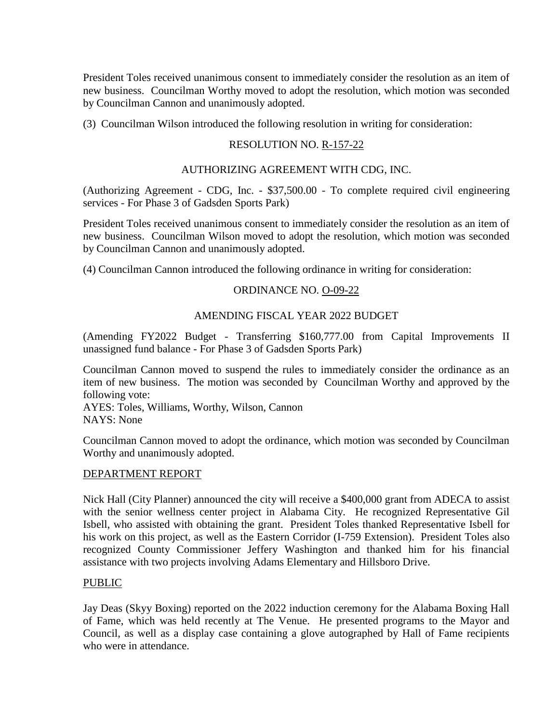President Toles received unanimous consent to immediately consider the resolution as an item of new business. Councilman Worthy moved to adopt the resolution, which motion was seconded by Councilman Cannon and unanimously adopted.

(3) Councilman Wilson introduced the following resolution in writing for consideration:

# RESOLUTION NO. R-157-22

## AUTHORIZING AGREEMENT WITH CDG, INC.

(Authorizing Agreement - CDG, Inc. - \$37,500.00 - To complete required civil engineering services - For Phase 3 of Gadsden Sports Park)

President Toles received unanimous consent to immediately consider the resolution as an item of new business. Councilman Wilson moved to adopt the resolution, which motion was seconded by Councilman Cannon and unanimously adopted.

(4) Councilman Cannon introduced the following ordinance in writing for consideration:

# ORDINANCE NO. O-09-22

# AMENDING FISCAL YEAR 2022 BUDGET

(Amending FY2022 Budget - Transferring \$160,777.00 from Capital Improvements II unassigned fund balance - For Phase 3 of Gadsden Sports Park)

Councilman Cannon moved to suspend the rules to immediately consider the ordinance as an item of new business. The motion was seconded by Councilman Worthy and approved by the following vote:

AYES: Toles, Williams, Worthy, Wilson, Cannon NAYS: None

Councilman Cannon moved to adopt the ordinance, which motion was seconded by Councilman Worthy and unanimously adopted.

## DEPARTMENT REPORT

Nick Hall (City Planner) announced the city will receive a \$400,000 grant from ADECA to assist with the senior wellness center project in Alabama City. He recognized Representative Gil Isbell, who assisted with obtaining the grant. President Toles thanked Representative Isbell for his work on this project, as well as the Eastern Corridor (I-759 Extension). President Toles also recognized County Commissioner Jeffery Washington and thanked him for his financial assistance with two projects involving Adams Elementary and Hillsboro Drive.

## PUBLIC

Jay Deas (Skyy Boxing) reported on the 2022 induction ceremony for the Alabama Boxing Hall of Fame, which was held recently at The Venue. He presented programs to the Mayor and Council, as well as a display case containing a glove autographed by Hall of Fame recipients who were in attendance.